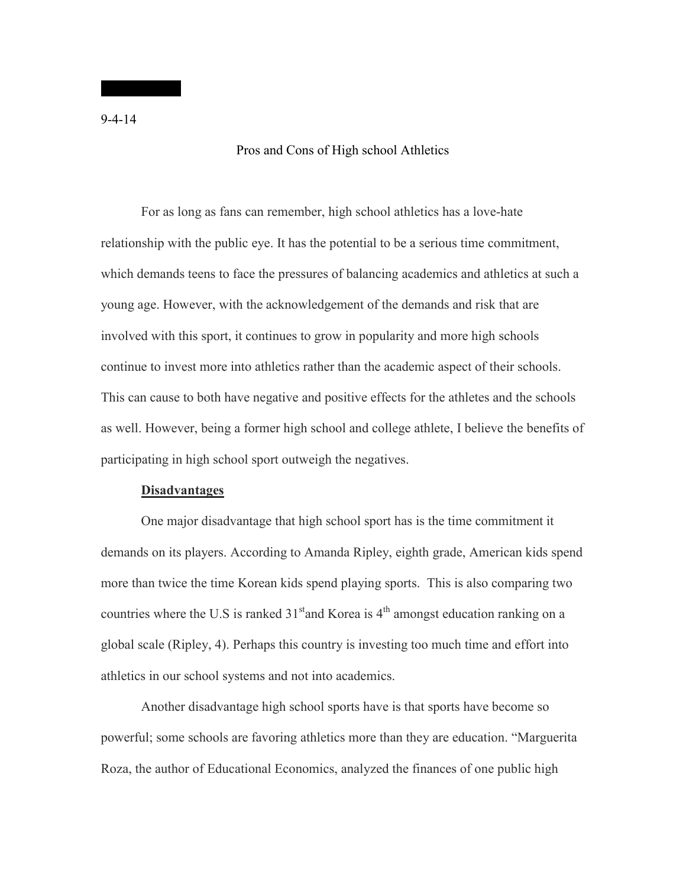## Pros and Cons of High school Athletics

For as long as fans can remember, high school athletics has a love-hate relationship with the public eye. It has the potential to be a serious time commitment, which demands teens to face the pressures of balancing academics and athletics at such a young age. However, with the acknowledgement of the demands and risk that are involved with this sport, it continues to grow in popularity and more high schools continue to invest more into athletics rather than the academic aspect of their schools. This can cause to both have negative and positive effects for the athletes and the schools as well. However, being a former high school and college athlete, I believe the benefits of participating in high school sport outweigh the negatives.

## **Disadvantages**

One major disadvantage that high school sport has is the time commitment it demands on its players. According to Amanda Ripley, eighth grade, American kids spend more than twice the time Korean kids spend playing sports. This is also comparing two countries where the U.S is ranked  $31<sup>st</sup>$  and Korea is  $4<sup>th</sup>$  amongst education ranking on a global scale (Ripley, 4). Perhaps this country is investing too much time and effort into athletics in our school systems and not into academics.

Another disadvantage high school sports have is that sports have become so powerful; some schools are favoring athletics more than they are education. "Marguerita Roza, the author of Educational Economics, analyzed the finances of one public high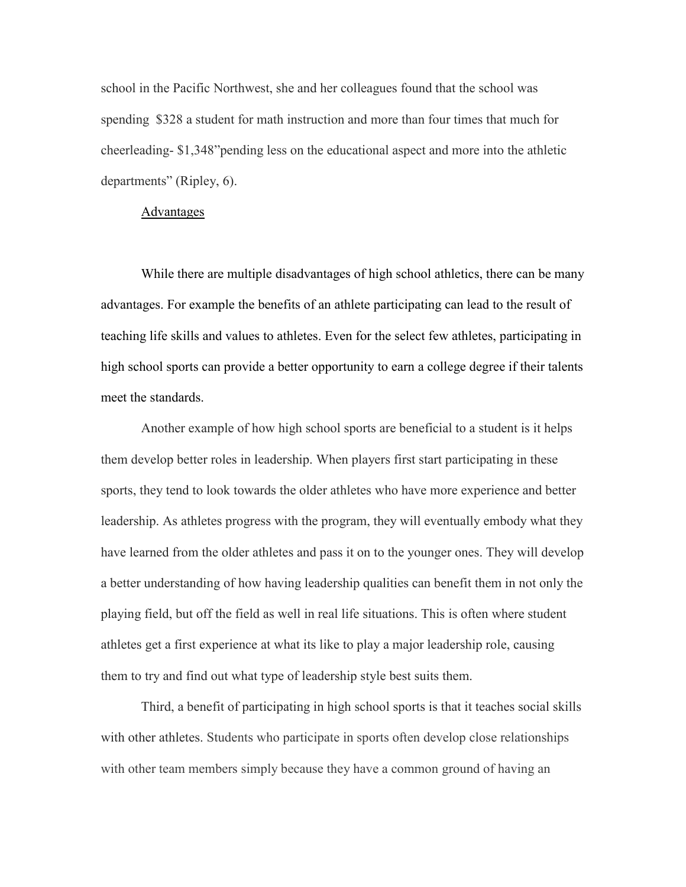school in the Pacific Northwest, she and her colleagues found that the school was spending \$328 a student for math instruction and more than four times that much for cheerleading- \$1,348"pending less on the educational aspect and more into the athletic departments" (Ripley, 6).

## Advantages

While there are multiple disadvantages of high school athletics, there can be many advantages. For example the benefits of an athlete participating can lead to the result of teaching life skills and values to athletes. Even for the select few athletes, participating in high school sports can provide a better opportunity to earn a college degree if their talents meet the standards.

Another example of how high school sports are beneficial to a student is it helps them develop better roles in leadership. When players first start participating in these sports, they tend to look towards the older athletes who have more experience and better leadership. As athletes progress with the program, they will eventually embody what they have learned from the older athletes and pass it on to the younger ones. They will develop a better understanding of how having leadership qualities can benefit them in not only the playing field, but off the field as well in real life situations. This is often where student athletes get a first experience at what its like to play a major leadership role, causing them to try and find out what type of leadership style best suits them.

Third, a benefit of participating in high school sports is that it teaches social skills with other athletes. Students who participate in sports often develop close relationships with other team members simply because they have a common ground of having an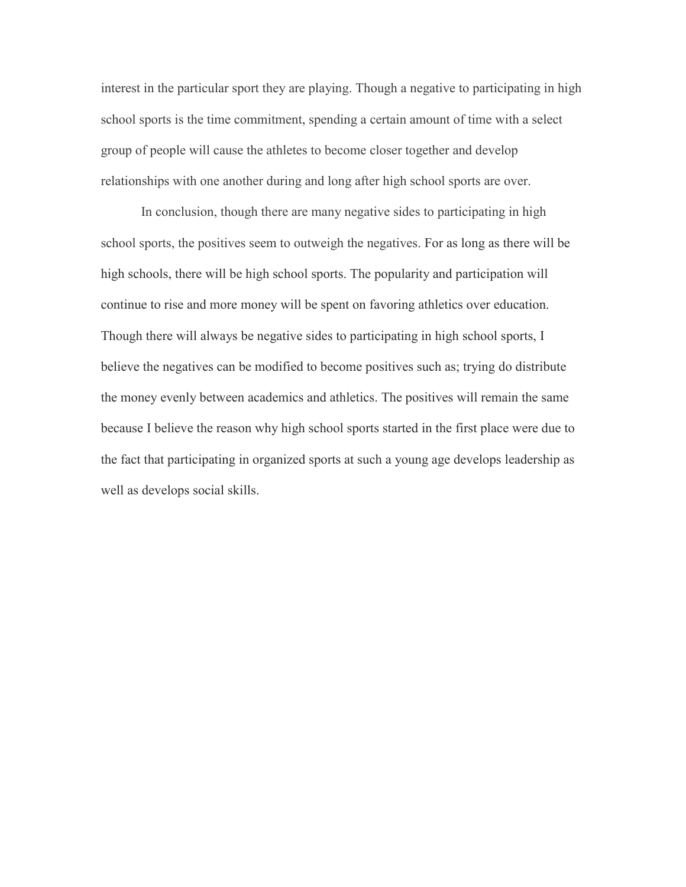interest in the particular sport they are playing. Though a negative to participating in high school sports is the time commitment, spending a certain amount of time with a select group of people will cause the athletes to become closer together and develop relationships with one another during and long after high school sports are over.

In conclusion, though there are many negative sides to participating in high school sports, the positives seem to outweigh the negatives. For as long as there will be high schools, there will be high school sports. The popularity and participation will continue to rise and more money will be spent on favoring athletics over education. Though there will always be negative sides to participating in high school sports, I believe the negatives can be modified to become positives such as; trying do distribute the money evenly between academics and athletics. The positives will remain the same because I believe the reason why high school sports started in the first place were due to the fact that participating in organized sports at such a young age develops leadership as well as develops social skills.